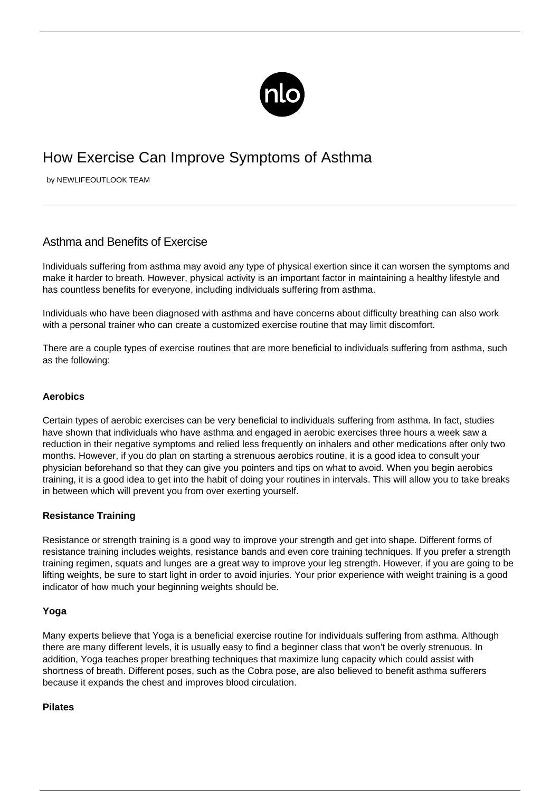

# How Exercise Can Improve Symptoms of Asthma

by NEWLIFEOUTLOOK TEAM

# Asthma and Benefits of Exercise

Individuals suffering from asthma may avoid any type of physical exertion since it can worsen the symptoms and make it harder to breath. However, physical activity is an important factor in maintaining a healthy lifestyle and has countless benefits for everyone, including individuals suffering from asthma.

Individuals who have been diagnosed with asthma and have concerns about difficulty breathing can also work with a personal trainer who can create a customized exercise routine that may limit discomfort.

There are a couple types of exercise routines that are more beneficial to individuals suffering from asthma, such as the following:

## **Aerobics**

Certain types of aerobic exercises can be very beneficial to individuals suffering from asthma. In fact, studies have shown that individuals who have asthma and engaged in aerobic exercises three hours a week saw a reduction in their negative symptoms and relied less frequently on inhalers and other medications after only two months. However, if you do plan on starting a strenuous aerobics routine, it is a good idea to consult your physician beforehand so that they can give you pointers and tips on what to avoid. When you begin aerobics training, it is a good idea to get into the habit of doing your routines in intervals. This will allow you to take breaks in between which will prevent you from over exerting yourself.

# **Resistance Training**

Resistance or strength training is a good way to improve your strength and get into shape. Different forms of resistance training includes weights, resistance bands and even core training techniques. If you prefer a strength training regimen, squats and lunges are a great way to improve your leg strength. However, if you are going to be lifting weights, be sure to start light in order to avoid injuries. Your prior experience with weight training is a good indicator of how much your beginning weights should be.

### **Yoga**

Many experts believe that Yoga is a beneficial exercise routine for individuals suffering from asthma. Although there are many different levels, it is usually easy to find a beginner class that won't be overly strenuous. In addition, Yoga teaches proper breathing techniques that maximize lung capacity which could assist with shortness of breath. Different poses, such as the Cobra pose, are also believed to benefit asthma sufferers because it expands the chest and improves blood circulation.

### **Pilates**